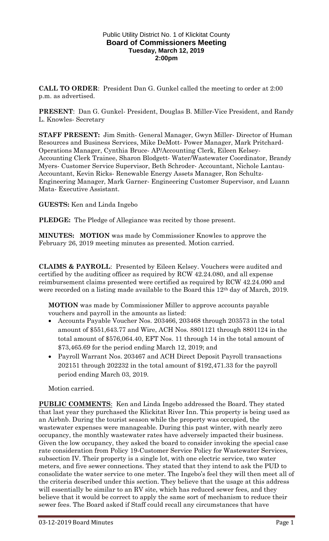### Public Utility District No. 1 of Klickitat County **Board of Commissioners Meeting Tuesday, March 12, 2019 2:00pm**

**CALL TO ORDER**: President Dan G. Gunkel called the meeting to order at 2:00 p.m. as advertised.

**PRESENT**: Dan G. Gunkel- President, Douglas B. Miller-Vice President, and Randy L. Knowles- Secretary

**STAFF PRESENT:** Jim Smith- General Manager, Gwyn Miller- Director of Human Resources and Business Services, Mike DeMott- Power Manager, Mark Pritchard-Operations Manager, Cynthia Bruce- AP/Accounting Clerk, Eileen Kelsey-Accounting Clerk Trainee, Sharon Blodgett- Water/Wastewater Coordinator, Brandy Myers- Customer Service Supervisor, Beth Schroder- Accountant, Nichole Lantau-Accountant, Kevin Ricks- Renewable Energy Assets Manager, Ron Schultz-Engineering Manager, Mark Garner- Engineering Customer Supervisor, and Luann Mata- Executive Assistant.

### **GUESTS:** Ken and Linda Ingebo

**PLEDGE:** The Pledge of Allegiance was recited by those present.

**MINUTES: MOTION** was made by Commissioner Knowles to approve the February 26, 2019 meeting minutes as presented. Motion carried.

**CLAIMS & PAYROLL**: Presented by Eileen Kelsey. Vouchers were audited and certified by the auditing officer as required by RCW 42.24.080, and all expense reimbursement claims presented were certified as required by RCW 42.24.090 and were recorded on a listing made available to the Board this 12<sup>th</sup> day of March, 2019.

**MOTION** was made by Commissioner Miller to approve accounts payable vouchers and payroll in the amounts as listed:

- Accounts Payable Voucher Nos. 203466, 203468 through 203573 in the total amount of \$551,643.77 and Wire, ACH Nos. 8801121 through 8801124 in the total amount of \$576,064.40, EFT Nos. 11 through 14 in the total amount of \$73,465.69 for the period ending March 12, 2019; and
- Payroll Warrant Nos. 203467 and ACH Direct Deposit Payroll transactions 202151 through 202232 in the total amount of \$192,471.33 for the payroll period ending March 03, 2019.

Motion carried.

**PUBLIC COMMENTS**: Ken and Linda Ingebo addressed the Board. They stated that last year they purchased the Klickitat River Inn. This property is being used as an Airbnb. During the tourist season while the property was occupied, the wastewater expenses were manageable. During this past winter, with nearly zero occupancy, the monthly wastewater rates have adversely impacted their business. Given the low occupancy, they asked the board to consider invoking the special case rate consideration from Policy 19-Customer Service Policy for Wastewater Services, subsection IV. Their property is a single lot, with one electric service, two water meters, and five sewer connections. They stated that they intend to ask the PUD to consolidate the water service to one meter. The Ingebo's feel they will then meet all of the criteria described under this section. They believe that the usage at this address will essentially be similar to an RV site, which has reduced sewer fees, and they believe that it would be correct to apply the same sort of mechanism to reduce their sewer fees. The Board asked if Staff could recall any circumstances that have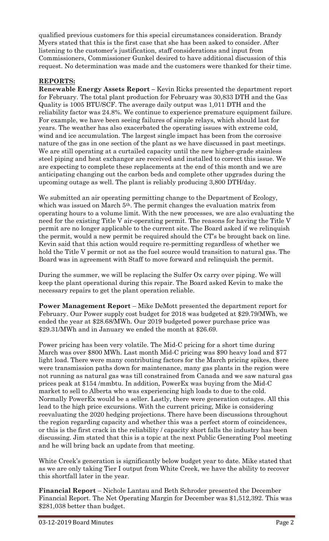qualified previous customers for this special circumstances consideration. Brandy Myers stated that this is the first case that she has been asked to consider. After listening to the customer's justification, staff considerations and input from Commissioners, Commissioner Gunkel desired to have additional discussion of this request. No determination was made and the customers were thanked for their time.

## **REPORTS:**

**Renewable Energy Assets Report –** Kevin Ricks presented the department report for February. The total plant production for February was 30,833 DTH and the Gas Quality is 1005 BTU/SCF. The average daily output was 1,011 DTH and the reliability factor was 24.8%. We continue to experience premature equipment failure. For example, we have been seeing failures of simple relays, which should last for years. The weather has also exacerbated the operating issues with extreme cold, wind and ice accumulation. The largest single impact has been from the corrosive nature of the gas in one section of the plant as we have discussed in past meetings. We are still operating at a curtailed capacity until the new higher-grade stainless steel piping and heat exchanger are received and installed to correct this issue. We are expecting to complete these replacements at the end of this month and we are anticipating changing out the carbon beds and complete other upgrades during the upcoming outage as well. The plant is reliably producing 3,800 DTH/day.

We submitted an air operating permitting change to the Department of Ecology, which was issued on March 5<sup>th</sup>. The permit changes the evaluation matrix from operating hours to a volume limit. With the new processes, we are also evaluating the need for the existing Title V air-operating permit. The reasons for having the Title V permit are no longer applicable to the current site. The Board asked if we relinquish the permit, would a new permit be required should the CT's be brought back on line. Kevin said that this action would require re-permitting regardless of whether we hold the Title V permit or not as the fuel source would transition to natural gas. The Board was in agreement with Staff to move forward and relinquish the permit.

During the summer, we will be replacing the Sulfer Ox carry over piping. We will keep the plant operational during this repair. The Board asked Kevin to make the necessary repairs to get the plant operation reliable.

**Power Management Report** – Mike DeMott presented the department report for February. Our Power supply cost budget for 2018 was budgeted at \$29.79/MWh, we ended the year at \$28.68/MWh. Our 2019 budgeted power purchase price was \$29.31/MWh and in January we ended the month at \$26.69.

Power pricing has been very volatile. The Mid-C pricing for a short time during March was over \$800 MWh. Last month Mid-C pricing was \$90 heavy load and \$77 light load. There were many contributing factors for the March pricing spikes, there were transmission paths down for maintenance, many gas plants in the region were not running as natural gas was till constrained from Canada and we saw natural gas prices peak at \$154 /mmbtu. In addition, PowerEx was buying from the Mid-C market to sell to Alberta who was experiencing high loads to due to the cold. Normally PowerEx would be a seller. Lastly, there were generation outages. All this lead to the high price excursions. With the current pricing, Mike is considering reevaluating the 2020 hedging projections. There have been discussions throughout the region regarding capacity and whether this was a perfect storm of coincidences, or this is the first crack in the reliability / capacity short falls the industry has been discussing. Jim stated that this is a topic at the next Public Generating Pool meeting and he will bring back an update from that meeting.

White Creek's generation is significantly below budget year to date. Mike stated that as we are only taking Tier I output from White Creek, we have the ability to recover this shortfall later in the year.

**Financial Report** – Nichole Lantau and Beth Schroder presented the December Financial Report. The Net Operating Margin for December was \$1,512,392. This was \$281,038 better than budget.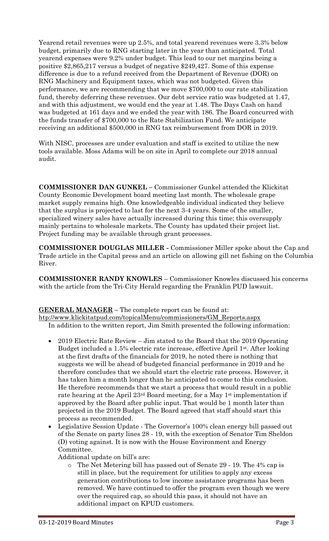Yearend retail revenues were up 2.5%, and total yearend revenues were 3.3% below budget, primarily due to RNG starting later in the year than anticipated. Total yearend expenses were 9.2% under budget. This lead to our net margins being a positive \$2,865,217 versus a budget of negative \$249,427. Some of this expense difference is due to a refund received from the Department of Revenue (DOR) on RNG Machinery and Equipment taxes, which was not budgeted. Given this performance, we are recommending that we move \$700,000 to our rate stabilization fund, thereby deferring these revenues. Our debt service ratio was budgeted at 1.47, and with this adjustment, we would end the year at 1.48. The Days Cash on hand was budgeted at 161 days and we ended the year with 186. The Board concurred with the funds transfer of \$700,000 to the Rate Stabilization Fund. We anticipate receiving an additional \$500,000 in RNG tax reimbursement from DOR in 2019.

With NISC, processes are under evaluation and staff is excited to utilize the new tools available. Moss Adams will be on site in April to complete our 2018 annual audit.

**COMMISSIONER DAN GUNKEL –** Commissioner Gunkel attended the Klickitat County Economic Development board meeting last month. The wholesale grape market supply remains high. One knowledgeable individual indicated they believe that the surplus is projected to last for the next 3-4 years. Some of the smaller, specialized winery sales have actually increased during this time; this oversupply mainly pertains to wholesale markets. The County has updated their project list. Project funding may be available through grant processes.

**COMMISSIONER DOUGLAS MILLER -** Commissioner Miller spoke about the Cap and Trade article in the Capital press and an article on allowing gill net fishing on the Columbia River.

**COMMISSIONER RANDY KNOWLES** – Commissioner Knowles discussed his concerns with the article from the Tri-City Herald regarding the Franklin PUD lawsuit.

**GENERAL MANAGER –** The complete report can be found at:

[htp://www.klickitatpud.com/topicalMenu/commissioners/GM\\_Reports.aspx](http://www.klickitatpud.com/topicalMenu/commissioners/GM_Reports.aspx) In addition to the written report, Jim Smith presented the following information:

- 2019 Electric Rate Review Jim stated to the Board that the 2019 Operating Budget included a 1.5% electric rate increase, effective April 1st. After looking at the first drafts of the financials for 2019, he noted there is nothing that suggests we will be ahead of budgeted financial performance in 2019 and he therefore concludes that we should start the electric rate process. However, it has taken him a month longer than he anticipated to come to this conclusion. He therefore recommends that we start a process that would result in a public rate hearing at the April 23rd Board meeting, for a May 1<sup>st</sup> implementation if approved by the Board after public input. That would be 1 month later than projected in the 2019 Budget. The Board agreed that staff should start this process as recommended.
- Legislative Session Update The Governor's 100% clean energy bill passed out of the Senate on party lines 28 - 19, with the exception of Senator Tim Sheldon (D) voting against. It is now with the House Environment and Energy Committee.

Additional update on bill's are:

The Net Metering bill has passed out of Senate 29 - 19. The 4% cap is still in place, but the requirement for utilities to apply any excess generation contributions to low income assistance programs has been removed. We have continued to offer the program even though we were over the required cap, so should this pass, it should not have an additional impact on KPUD customers.